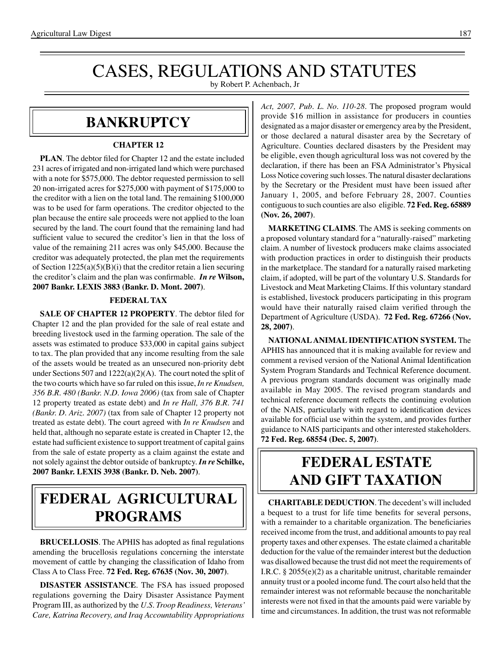# CASES, REGULATIONS AND STATUTES

by Robert P. Achenbach, Jr

### **BANKRUPTCY**

### **CHAPTER 12**

**PLAN**. The debtor filed for Chapter 12 and the estate included 231 acres of irrigated and non-irrigated land which were purchased with a note for \$575,000. The debtor requested permission to sell 20 non-irrigated acres for \$275,000 with payment of \$175,000 to the creditor with a lien on the total land. The remaining \$100,000 was to be used for farm operations. The creditor objected to the plan because the entire sale proceeds were not applied to the loan secured by the land. The court found that the remaining land had sufficient value to secured the creditor's lien in that the loss of value of the remaining 211 acres was only \$45,000. Because the creditor was adequately protected, the plan met the requirements of Section  $1225(a)(5)(B)(i)$  that the creditor retain a lien securing the creditor's claim and the plan was confirmable. *In re* **Wilson, 2007 Bankr. LEXIS 3883 (Bankr. D. Mont. 2007)**.

### **FEDERAL TAX**

**SALE OF CHAPTER 12 PROPERTY**. The debtor filed for Chapter 12 and the plan provided for the sale of real estate and breeding livestock used in the farming operation. The sale of the assets was estimated to produce \$33,000 in capital gains subject to tax. The plan provided that any income resulting from the sale of the assets would be treated as an unsecured non-priority debt under Sections 507 and 1222(a)(2)(A). The court noted the split of the two courts which have so far ruled on this issue, *In re Knudsen*, *356 B.R. 480 (Bankr. N.D. Iowa 2006)* (tax from sale of Chapter 12 property treated as estate debt) and *In re Hall, 376 B.R. 741 (Bankr. D. Ariz. 2007)* (tax from sale of Chapter 12 property not treated as estate debt). The court agreed with *In re Knudsen* and held that, although no separate estate is created in Chapter 12, the estate had sufficient existence to support treatment of capital gains from the sale of estate property as a claim against the estate and not solely against the debtor outside of bankruptcy. *In re* **Schilke, 2007 Bankr. LEXIS 3938 (Bankr. D. Neb. 2007)**.

## **federal agricultural programs**

**BRUCELLOSIS**. The APHIS has adopted as final regulations amending the brucellosis regulations concerning the interstate movement of cattle by changing the classification of Idaho from Class A to Class Free. **72 Fed. Reg. 67635 (Nov. 30, 2007)**.

**DISASTER ASSISTANCE**. The FSA has issued proposed regulations governing the Dairy Disaster Assistance Payment Program III, as authorized by the *U.S. Troop Readiness, Veterans' Care, Katrina Recovery, and Iraq Accountability Appropriations*  *Act, 2007, Pub. L. No. 110-28*. The proposed program would provide \$16 million in assistance for producers in counties designated as a major disaster or emergency area by the President, or those declared a natural disaster area by the Secretary of Agriculture. Counties declared disasters by the President may be eligible, even though agricultural loss was not covered by the declaration, if there has been an FSA Administrator's Physical Loss Notice covering such losses.The natural disaster declarations by the Secretary or the President must have been issued after January 1, 2005, and before February 28, 2007. Counties contiguous to such counties are also eligible. **72 Fed. Reg. 65889 (Nov. 26, 2007)**.

**MARKETING CLAIMS**. The AMS is seeking comments on a proposed voluntary standard for a "naturally-raised" marketing claim. A number of livestock producers make claims associated with production practices in order to distinguish their products in the marketplace. The standard for a naturally raised marketing claim, if adopted, will be part of the voluntary U.S. Standards for Livestock and Meat Marketing Claims. If this voluntary standard is established, livestock producers participating in this program would have their naturally raised claim verified through the Department of Agriculture (USDA). **72 Fed. Reg. 67266 (Nov. 28, 2007)**.

**NATIONAL ANIMAL IDENTIFICATION SYSTEM.** The APHIS has announced that it is making available for review and comment a revised version of the National Animal Identification System Program Standards and Technical Reference document. A previous program standards document was originally made available in May 2005. The revised program standards and technical reference document reflects the continuing evolution of the NAIS, particularly with regard to identification devices available for official use within the system, and provides further guidance to NAIS participants and other interested stakeholders. **72 Fed. Reg. 68554 (Dec. 5, 2007)**.

### **federal ESTATE AND GIFT taxation**

**CHARITABLE DEDUCTION**. The decedent's will included a bequest to a trust for life time benefits for several persons, with a remainder to a charitable organization. The beneficiaries received income from the trust, and additional amounts to pay real property taxes and other expenses. The estate claimed a charitable deduction for the value of the remainder interest but the deduction was disallowed because the trust did not meet the requirements of I.R.C. § 2055(e)(2) as a charitable unitrust, charitable remainder annuity trust or a pooled income fund. The court also held that the remainder interest was not reformable because the noncharitable interests were not fixed in that the amounts paid were variable by time and circumstances. In addition, the trust was not reformable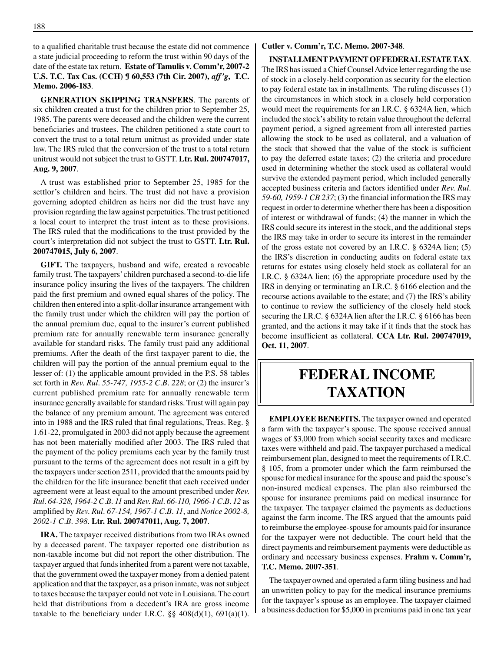to a qualified charitable trust because the estate did not commence a state judicial proceeding to reform the trust within 90 days of the date of the estate tax return. **Estate of Tamulis v. Comm'r, 2007-2 U.S. T.C. Tax Cas. (CCH) ¶ 60,553 (7th Cir. 2007),** *aff'g***, T.C. Memo. 2006-183**.

**GENERATION SKIPPING TRANSFERS**. The parents of six children created a trust for the children prior to September 25, 1985. The parents were deceased and the children were the current beneficiaries and trustees. The children petitioned a state court to convert the trust to a total return unitrust as provided under state law. The IRS ruled that the conversion of the trust to a total return unitrust would not subject the trust to GSTT. **Ltr. Rul. 200747017, Aug. 9, 2007**.

A trust was established prior to September 25, 1985 for the settlor's children and heirs. The trust did not have a provision governing adopted children as heirs nor did the trust have any provision regarding the law against perpetuities.The trust petitioned a local court to interpret the trust intent as to these provisions. The IRS ruled that the modifications to the trust provided by the court's interpretation did not subject the trust to GSTT. **Ltr. Rul. 200747015, July 6, 2007**.

**GIFT.** The taxpayers, husband and wife, created a revocable family trust. The taxpayers' children purchased a second-to-die life insurance policy insuring the lives of the taxpayers. The children paid the first premium and owned equal shares of the policy. The children then entered into a split-dollar insurance arrangement with the family trust under which the children will pay the portion of the annual premium due, equal to the insurer's current published premium rate for annually renewable term insurance generally available for standard risks. The family trust paid any additional premiums. After the death of the first taxpayer parent to die, the children will pay the portion of the annual premium equal to the lesser of: (1) the applicable amount provided in the P.S. 58 tables set forth in *Rev. Rul. 55-747, 1955-2 C.B. 228*; or (2) the insurer's current published premium rate for annually renewable term insurance generally available for standard risks. Trust will again pay the balance of any premium amount. The agreement was entered into in 1988 and the IRS ruled that final regulations, Treas. Reg. § 1.61-22, promulgated in 2003 did not apply because the agreement has not been materially modified after 2003. The IRS ruled that the payment of the policy premiums each year by the family trust pursuant to the terms of the agreement does not result in a gift by the taxpayers under section 2511, provided that the amounts paid by the children for the life insurance benefit that each received under agreement were at least equal to the amount prescribed under *Rev. Rul. 64-328, 1964-2 C.B. 11* and *Rev. Rul. 66-110, 1966-1 C.B. 12* as amplified by *Rev. Rul. 67-154, 1967-1 C.B. 11*, and *Notice 2002-8, 2002-1 C.B. 398*. **Ltr. Rul. 200747011, Aug. 7, 2007**.

**IRA.** The taxpayer received distributions from two IRAs owned by a deceased parent. The taxpayer reported one distribution as non-taxable income but did not report the other distribution. The taxpayer argued that funds inherited from a parent were not taxable, that the government owed the taxpayer money from a denied patent application and that the taxpayer, as a prison inmate, was not subject to taxes because the taxpayer could not vote in Louisiana. The court held that distributions from a decedent's IRA are gross income taxable to the beneficiary under I.R.C.  $\S\S 408(d)(1)$ , 691(a)(1).

#### **Cutler v. Comm'r, T.C. Memo. 2007-348**.

**INSTALLMENT PAYMENT OF FEDERAL ESTATE TAX**. The IRS has issued a Chief Counsel Advice letter regarding the use of stock in a closely-held corporation as security for the election to pay federal estate tax in installments. The ruling discusses (1) the circumstances in which stock in a closely held corporation would meet the requirements for an I.R.C. § 6324A lien, which included the stock's ability to retain value throughout the deferral payment period, a signed agreement from all interested parties allowing the stock to be used as collateral, and a valuation of the stock that showed that the value of the stock is sufficient to pay the deferred estate taxes; (2) the criteria and procedure used in determining whether the stock used as collateral would survive the extended payment period, which included generally accepted business criteria and factors identified under *Rev. Rul. 59-60, 1959-1 CB 237*; (3) the financial information the IRS may request in order to determine whether there has been a disposition of interest or withdrawal of funds; (4) the manner in which the IRS could secure its interest in the stock, and the additional steps the IRS may take in order to secure its interest in the remainder of the gross estate not covered by an I.R.C. § 6324A lien; (5) the IRS's discretion in conducting audits on federal estate tax returns for estates using closely held stock as collateral for an I.R.C. § 6324A lien; (6) the appropriate procedure used by the IRS in denying or terminating an I.R.C. § 6166 election and the recourse actions available to the estate; and (7) the IRS's ability to continue to review the sufficiency of the closely held stock securing the I.R.C. § 6324A lien after the I.R.C. § 6166 has been granted, and the actions it may take if it finds that the stock has become insufficient as collateral. **CCA Ltr. Rul. 200747019, Oct. 11, 2007**.

### **federal income taxation**

**EMPLOYEE BENEFITS.** The taxpayer owned and operated a farm with the taxpayer's spouse. The spouse received annual wages of \$3,000 from which social security taxes and medicare taxes were withheld and paid. The taxpayer purchased a medical reimbursement plan, designed to meet the requirements of I.R.C. § 105, from a promoter under which the farm reimbursed the spouse for medical insurance for the spouse and paid the spouse's non-insured medical expenses. The plan also reimbursed the spouse for insurance premiums paid on medical insurance for the taxpayer. The taxpayer claimed the payments as deductions against the farm income. The IRS argued that the amounts paid to reimburse the employee-spouse for amounts paid for insurance for the taxpayer were not deductible. The court held that the direct payments and reimbursement payments were deductible as ordinary and necessary business expenses. **Frahm v. Comm'r, T.C. Memo. 2007-351**.

The taxpayer owned and operated a farm tiling business and had an unwritten policy to pay for the medical insurance premiums for the taxpayer's spouse as an employee. The taxpayer claimed a business deduction for \$5,000 in premiums paid in one tax year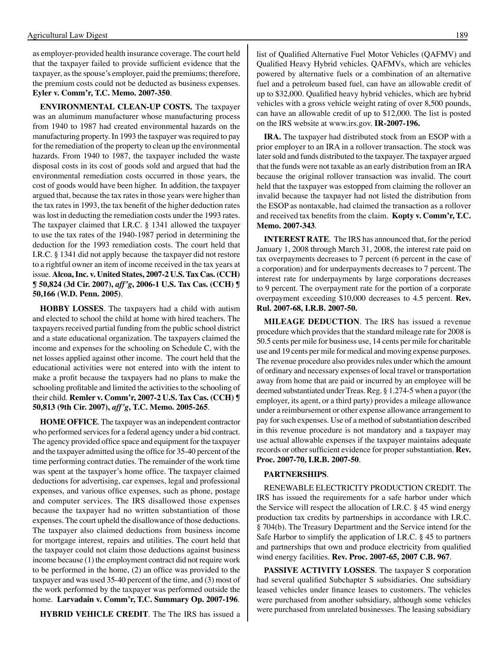as employer-provided health insurance coverage. The court held that the taxpayer failed to provide sufficient evidence that the taxpayer, asthe spouse's employer, paid the premiums; therefore, the premium costs could not be deducted as business expenses. **Eyler v. Comm'r, T.C. Memo. 2007-350**.

**ENVIRONMENTAL CLEAN-UP COSTS.** The taxpayer was an aluminum manufacturer whose manufacturing process from 1940 to 1987 had created environmental hazards on the manufacturing property. In 1993 the taxpayer was required to pay for the remediation of the property to clean up the environmental hazards. From 1940 to 1987, the taxpayer included the waste disposal costs in its cost of goods sold and argued that had the environmental remediation costs occurred in those years, the cost of goods would have been higher. In addition, the taxpayer argued that, because the tax rates in those years were higher than the tax rates in 1993, the tax benefit of the higher deduction rates was lost in deducting the remediation costs under the 1993 rates. The taxpayer claimed that I.R.C. § 1341 allowed the taxpayer to use the tax rates of the 1940-1987 period in determining the deduction for the 1993 remediation costs. The court held that I.R.C. § 1341 did not apply because the taxpayer did not restore to a rightful owner an item of income received in the tax years at issue. **Alcoa, Inc. v. United States, 2007-2 U.S. Tax Cas. (CCH) ¶ 50,824 (3d Cir. 2007),** *aff'g***, 2006-1 U.S. Tax Cas. (CCH) ¶ 50,166 (W.D. Penn. 2005)**.

**HOBBY LOSSES**. The taxpayers had a child with autism and elected to school the child at home with hired teachers. The taxpayers received partial funding from the public school district and a state educational organization. The taxpayers claimed the income and expenses for the schooling on Schedule C, with the net losses applied against other income. The court held that the educational activities were not entered into with the intent to make a profit because the taxpayers had no plans to make the schooling profitable and limited the activities to the schooling of their child. **Remler v. Comm'r, 2007-2 U.S. Tax Cas. (CCH) ¶ 50,813 (9th Cir. 2007),** *aff'g***, T.C. Memo. 2005-265**.

**HOME OFFICE**.The taxpayer was an independent contractor who performed services for a federal agency under a bid contract. The agency provided office space and equipment for the taxpayer and the taxpayer admitted using the office for 35-40 percent of the time performing contract duties. The remainder of the work time was spent at the taxpayer's home office. The taxpayer claimed deductions for advertising, car expenses, legal and professional expenses, and various office expenses, such as phone, postage and computer services. The IRS disallowed those expenses because the taxpayer had no written substantiation of those expenses. The court upheld the disallowance of those deductions. The taxpayer also claimed deductions from business income for mortgage interest, repairs and utilities. The court held that the taxpayer could not claim those deductions against business income because (1) the employment contract did not require work to be performed in the home, (2) an office was provided to the taxpayer and was used 35-40 percent of the time, and (3) most of the work performed by the taxpayer was performed outside the home. **Larvadain v. Comm'r, T.C. Summary Op. 2007-196**.

**HYBRID VEHICLE CREDIT**. The The IRS has issued a

list of Qualified Alternative Fuel Motor Vehicles (QAFMV) and Qualified Heavy Hybrid vehicles. QAFMVs, which are vehicles powered by alternative fuels or a combination of an alternative fuel and a petroleum based fuel, can have an allowable credit of up to \$32,000. Qualified heavy hybrid vehicles, which are hybrid vehicles with a gross vehicle weight rating of over 8,500 pounds, can have an allowable credit of up to \$12,000. The list is posted on the IRS website at www.irs.gov. **IR-2007-196.**

**IRA.** The taxpayer had distributed stock from an ESOP with a prior employer to an IRA in a rollover transaction. The stock was later sold and funds distributed to the taxpayer. The taxpayer argued that the funds were not taxable as an early distribution from an IRA because the original rollover transaction was invalid. The court held that the taxpayer was estopped from claiming the rollover an invalid because the taxpayer had not listed the distribution from the ESOP as nontaxable, had claimed the transaction as a rollover and received tax benefits from the claim. **Kopty v. Comm'r, T.C. Memo. 2007-343**.

**INTEREST RATE**. The IRS has announced that, for the period January 1, 2008 through March 31, 2008, the interest rate paid on tax overpayments decreases to 7 percent (6 percent in the case of a corporation) and for underpayments decreases to 7 percent. The interest rate for underpayments by large corporations decreases to 9 percent. The overpayment rate for the portion of a corporate overpayment exceeding \$10,000 decreases to 4.5 percent. **Rev. Rul. 2007-68, I.R.B. 2007-50.**

**MILEAGE DEDUCTION**. The IRS has issued a revenue procedure which provides that the standard mileage rate for 2008 is 50.5 cents per mile for business use, 14 cents per mile for charitable use and 19 cents per mile for medical and moving expense purposes. The revenue procedure also provides rules under which the amount of ordinary and necessary expenses of local travel or transportation away from home that are paid or incurred by an employee will be deemed substantiated under Treas. Reg. § 1.274-5 when a payor (the employer, its agent, or a third party) provides a mileage allowance under a reimbursement or other expense allowance arrangement to pay for such expenses. Use of a method of substantiation described in this revenue procedure is not mandatory and a taxpayer may use actual allowable expenses if the taxpayer maintains adequate records or other sufficient evidence for proper substantiation. **Rev. Proc. 2007-70, I.R.B. 2007-50**.

#### **PARTNERSHIPS**.

 RENEWABLE ELECTRICITY PRODUCTION CREDIT. The IRS has issued the requirements for a safe harbor under which the Service will respect the allocation of I.R.C. § 45 wind energy production tax credits by partnerships in accordance with I.R.C. § 704(b). The Treasury Department and the Service intend for the Safe Harbor to simplify the application of I.R.C. § 45 to partners and partnerships that own and produce electricity from qualified wind energy facilities. **Rev. Proc. 2007-65, 2007 C.B. 967**.

**PASSIVE ACTIVITY LOSSES**. The taxpayer S corporation had several qualified Subchapter S subsidiaries. One subsidiary leased vehicles under finance leases to customers. The vehicles were purchased from another subsidiary, although some vehicles were purchased from unrelated businesses. The leasing subsidiary